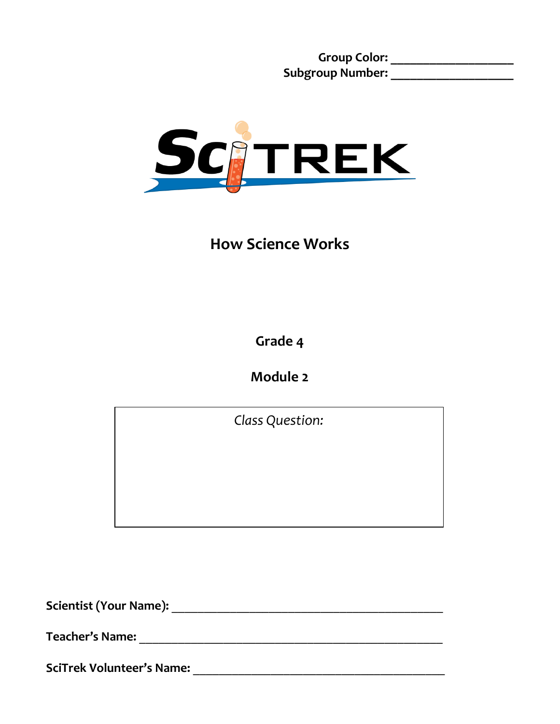**Group Color: \_\_\_\_\_\_\_\_\_\_\_\_\_\_\_\_\_\_\_ Subgroup Number: \_\_\_\_\_\_\_\_\_\_\_\_\_\_\_\_\_\_\_**



**How Science Works**

**Grade 4**

**Module 2**

*Class Question:*

**Scientist (Your Name):** \_\_\_\_\_\_\_\_\_\_\_\_\_\_\_\_\_\_\_\_\_\_\_\_\_\_\_\_\_\_\_\_\_\_\_\_\_\_\_\_\_\_

**Teacher's Name:** \_\_\_\_\_\_\_\_\_\_\_\_\_\_\_\_\_\_\_\_\_\_\_\_\_\_\_\_\_\_\_\_\_\_\_\_\_\_\_\_\_\_\_\_\_\_\_

**SciTrek Volunteer's Name:** \_\_\_\_\_\_\_\_\_\_\_\_\_\_\_\_\_\_\_\_\_\_\_\_\_\_\_\_\_\_\_\_\_\_\_\_\_\_\_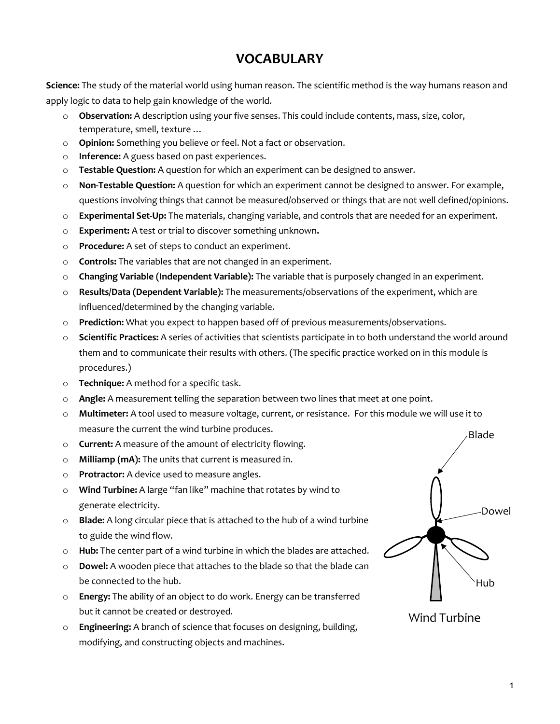#### **VOCABULARY**

**Science:** The study of the material world using human reason. The scientific method is the way humans reason and apply logic to data to help gain knowledge of the world.

- o **Observation:** A description using your five senses. This could include contents, mass, size, color, temperature, smell, texture …
- o **Opinion:** Something you believe or feel. Not a fact or observation.
- o **Inference:** A guess based on past experiences.
- o **Testable Question:** A question for which an experiment can be designed to answer.
- o **Non-Testable Question:** A question for which an experiment cannot be designed to answer. For example, questions involving things that cannot be measured/observed or things that are not well defined/opinions.
- o **Experimental Set-Up:** The materials, changing variable, and controls that are needed for an experiment.
- o **Experiment:** A test or trial to discover something unknown**.**
- o **Procedure:** A set of steps to conduct an experiment.
- o **Controls:** The variables that are not changed in an experiment.
- o **Changing Variable (Independent Variable):** The variable that is purposely changed in an experiment.
- o **Results/Data (Dependent Variable):** The measurements/observations of the experiment, which are influenced/determined by the changing variable.
- o **Prediction:** What you expect to happen based off of previous measurements/observations.
- o **Scientific Practices:** A series of activities that scientists participate in to both understand the world around them and to communicate their results with others. (The specific practice worked on in this module is procedures.)
- o **Technique:** A method for a specific task.
- o **Angle:** A measurement telling the separation between two lines that meet at one point.
- o **Multimeter:** A tool used to measure voltage, current, or resistance. For this module we will use it to measure the current the wind turbine produces.
- o **Current:** A measure of the amount of electricity flowing.
- o **Milliamp (mA):** The units that current is measured in.
- o **Protractor:** A device used to measure angles.
- o **Wind Turbine:** A large "fan like" machine that rotates by wind to generate electricity.
- o **Blade:** A long circular piece that is attached to the hub of a wind turbine to guide the wind flow.
- o **Hub:** The center part of a wind turbine in which the blades are attached.
- o **Dowel:** A wooden piece that attaches to the blade so that the blade can be connected to the hub.
- o **Energy:** The ability of an object to do work. Energy can be transferred but it cannot be created or destroyed.
- o **Engineering:** A branch of science that focuses on designing, building, modifying, and constructing objects and machines.



Wind Turbine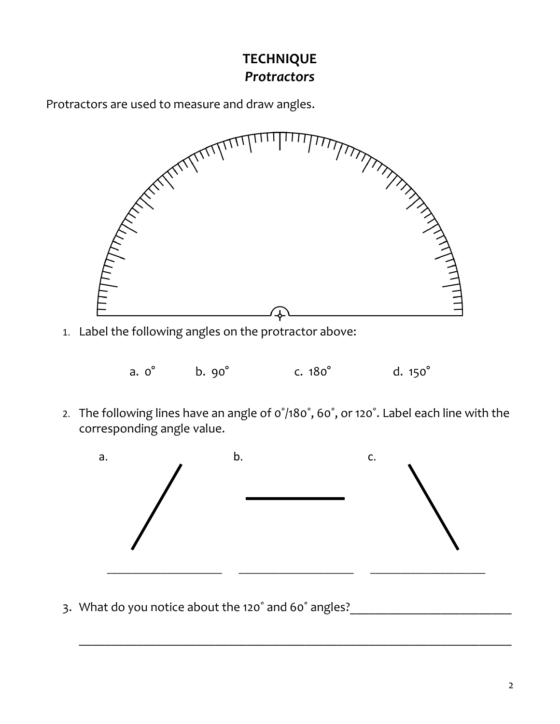# **TECHNIQUE** *Protractors*

Protractors are used to measure and draw angles.



1. Label the following angles on the protractor above:



2. The following lines have an angle of 0˚/180˚, 60˚, or 120˚. Label each line with the corresponding angle value.



\_\_\_\_\_\_\_\_\_\_\_\_\_\_\_\_\_\_\_\_\_\_\_\_\_\_\_\_\_\_\_\_\_\_\_\_\_\_\_\_\_\_\_\_\_\_\_\_\_\_\_\_\_\_\_\_\_\_\_\_\_\_\_\_\_\_\_

3. What do you notice about the 120° and 60° angles?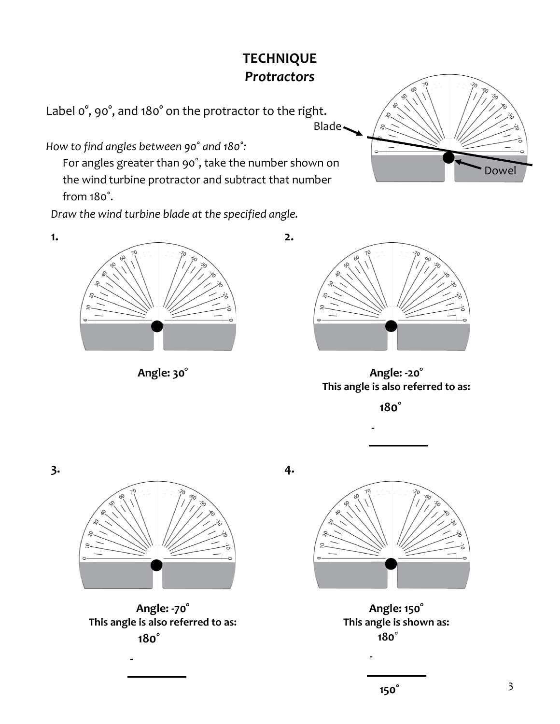# **TECHNIQUE** *Protractors*

**2.** 

Label 0°, 90°, and 180° on the protractor to the right.

*How to find angles between 90˚ and 180˚:*

**1.**

For angles greater than 90˚, take the number shown on the wind turbine protractor and subtract that number from 180˚.

*Draw the wind turbine blade at the specified angle.* 



**Angle: 30°**





**Angle: -20° This angle is also referred to as:** 

 **180˚**

**-**



**Angle: -70° This angle is also referred to as: 180˚**

**-**

**4.** 



**Angle: 150° This angle is shown as: 180˚**

**-**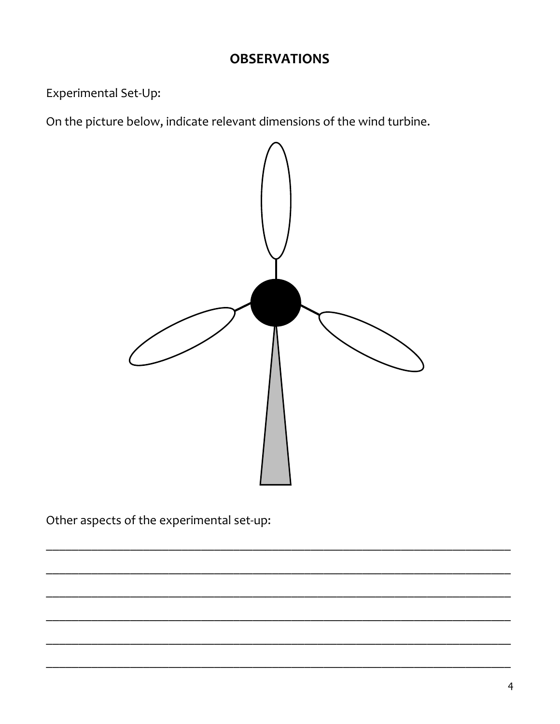### **OBSERVATIONS**

Experimental Set-Up:

On the picture below, indicate relevant dimensions of the wind turbine.



Other aspects of the experimental set-up: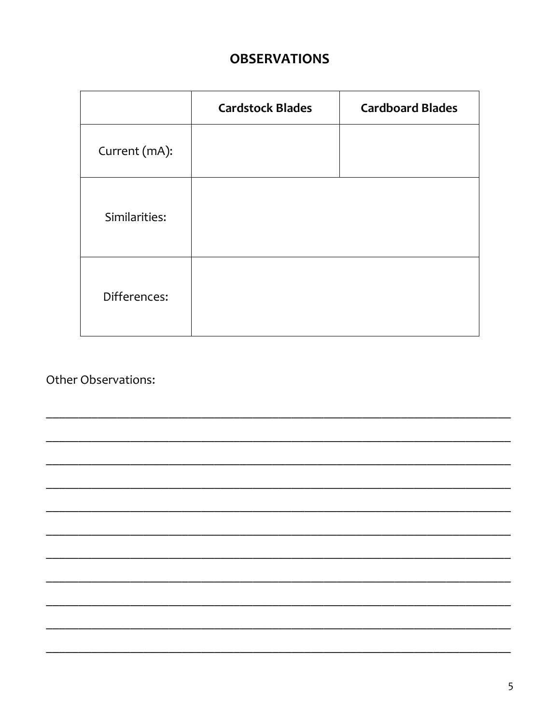# **OBSERVATIONS**

|               | <b>Cardstock Blades</b> | <b>Cardboard Blades</b> |
|---------------|-------------------------|-------------------------|
| Current (mA): |                         |                         |
| Similarities: |                         |                         |
| Differences:  |                         |                         |

Other Observations:

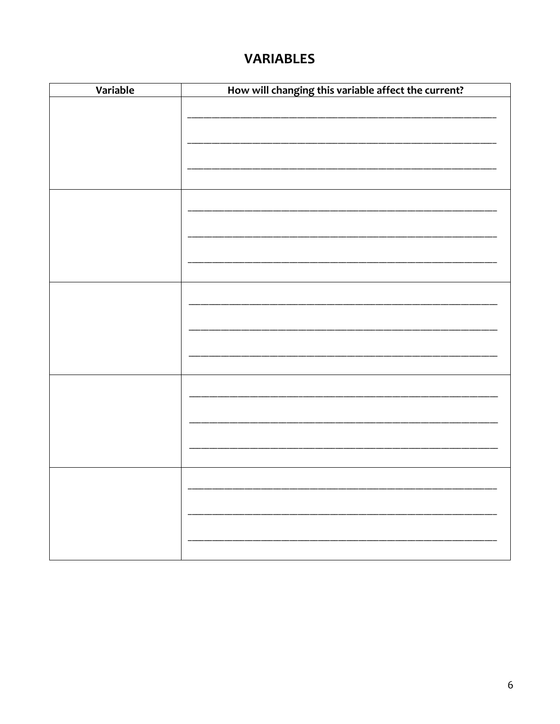# **VARIABLES**

| Variable | How will changing this variable affect the current? |
|----------|-----------------------------------------------------|
|          |                                                     |
|          |                                                     |
|          |                                                     |
|          |                                                     |
|          |                                                     |
|          |                                                     |
|          |                                                     |
|          |                                                     |
|          |                                                     |
|          |                                                     |
|          |                                                     |
|          |                                                     |
|          |                                                     |
|          |                                                     |
|          |                                                     |
|          |                                                     |
|          |                                                     |
|          |                                                     |
|          |                                                     |
|          |                                                     |
|          |                                                     |
|          |                                                     |
|          |                                                     |
|          |                                                     |
|          |                                                     |
|          |                                                     |
|          |                                                     |
|          |                                                     |
|          |                                                     |
|          |                                                     |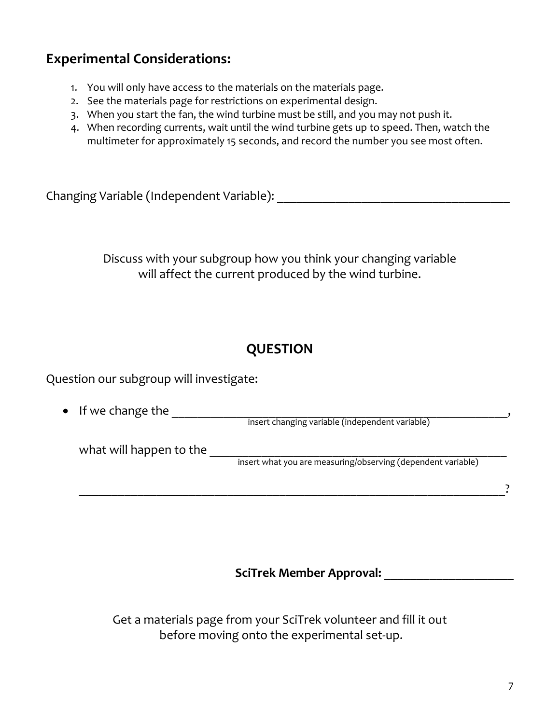### **Experimental Considerations:**

- 1. You will only have access to the materials on the materials page.
- 2. See the materials page for restrictions on experimental design.
- 3. When you start the fan, the wind turbine must be still, and you may not push it.
- 4. When recording currents, wait until the wind turbine gets up to speed. Then, watch the multimeter for approximately 15 seconds, and record the number you see most often.

Changing Variable (Independent Variable): \_\_\_\_\_\_\_\_\_\_\_\_\_\_\_\_\_\_\_\_\_\_\_\_\_\_\_\_\_\_\_\_\_\_\_\_

Discuss with your subgroup how you think your changing variable will affect the current produced by the wind turbine.

### **QUESTION**

Question our subgroup will investigate:

• If we change the \_\_\_\_\_\_\_\_\_\_\_\_\_\_\_\_\_\_\_\_\_\_\_\_\_\_\_\_\_\_\_\_\_\_\_\_\_\_\_\_\_\_\_\_\_\_\_\_\_\_\_\_, what will happen to the \_\_\_\_\_\_\_\_\_\_\_\_\_\_\_\_\_\_\_\_\_\_\_\_\_\_\_\_\_\_\_\_\_\_\_\_\_\_\_\_\_\_\_\_\_\_ \_\_\_\_\_\_\_\_\_\_\_\_\_\_\_\_\_\_\_\_\_\_\_\_\_\_\_\_\_\_\_\_\_\_\_\_\_\_\_\_\_\_\_\_\_\_\_\_\_\_\_\_\_\_\_\_\_\_\_\_\_\_\_\_\_\_? insert changing variable (independent variable) insert what you are measuring/observing (dependent variable)

**SciTrek Member Approval:** \_\_\_\_\_\_\_\_\_\_\_\_\_\_\_\_\_\_\_\_

Get a materials page from your SciTrek volunteer and fill it out before moving onto the experimental set-up.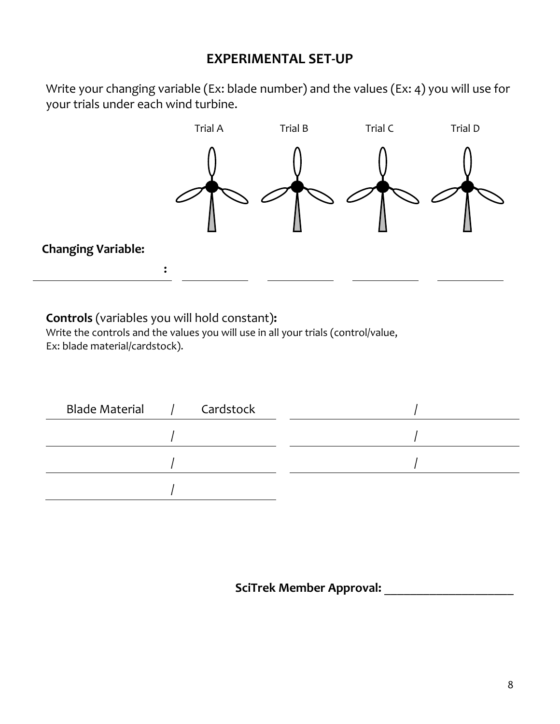#### **EXPERIMENTAL SET-UP**

Write your changing variable (Ex: blade number) and the values (Ex: 4) you will use for your trials under each wind turbine.



#### **Controls** (variables you will hold constant)**:**

Write the controls and the values you will use in all your trials (control/value, Ex: blade material/cardstock).

| <b>Blade Material</b> | $\frac{1}{2}$ | Cardstock |  |
|-----------------------|---------------|-----------|--|
|                       |               |           |  |
|                       |               |           |  |
|                       |               |           |  |

**SciTrek Member Approval:** \_\_\_\_\_\_\_\_\_\_\_\_\_\_\_\_\_\_\_\_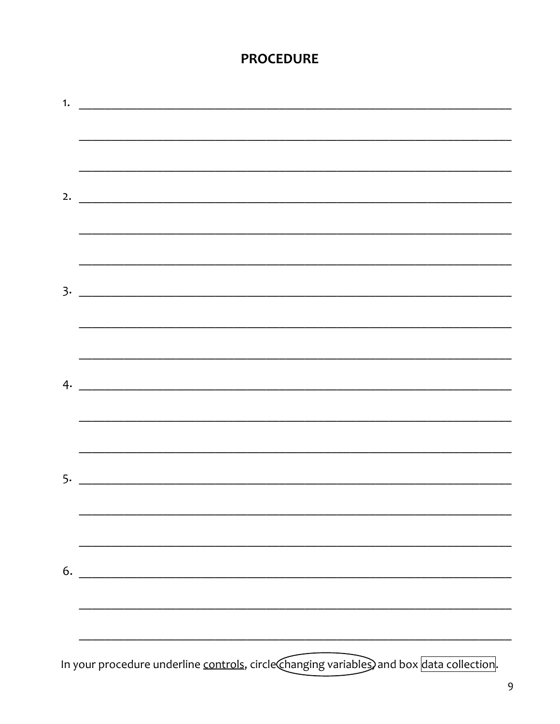### **PROCEDURE**

| $\overline{\mathbf{3}}$ .                                               |  |
|-------------------------------------------------------------------------|--|
|                                                                         |  |
|                                                                         |  |
|                                                                         |  |
|                                                                         |  |
|                                                                         |  |
|                                                                         |  |
|                                                                         |  |
|                                                                         |  |
|                                                                         |  |
|                                                                         |  |
|                                                                         |  |
|                                                                         |  |
|                                                                         |  |
|                                                                         |  |
|                                                                         |  |
|                                                                         |  |
|                                                                         |  |
|                                                                         |  |
|                                                                         |  |
| 6.<br><u> 1989 - Johann John Stone, mars eta biztanleria (h. 1989).</u> |  |
|                                                                         |  |
|                                                                         |  |
|                                                                         |  |
|                                                                         |  |
|                                                                         |  |
|                                                                         |  |

In your procedure underline controls, circle Changing variables, and box data collection.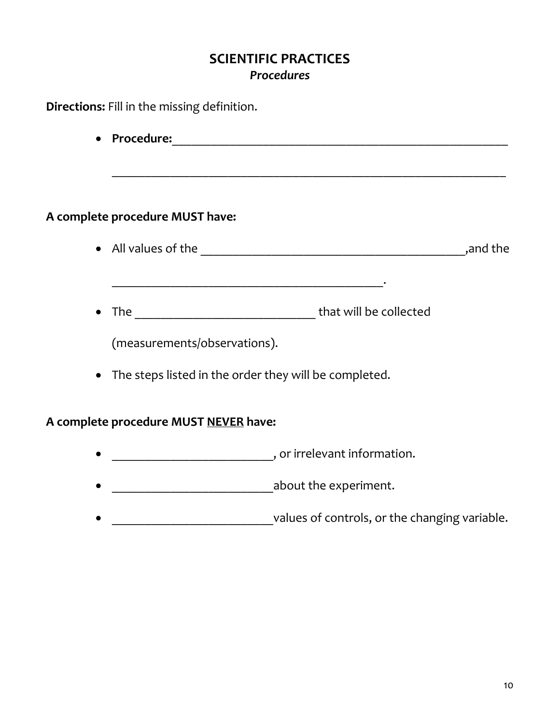**Directions:** Fill in the missing definition. • **Procedure:**\_\_\_\_\_\_\_\_\_\_\_\_\_\_\_\_\_\_\_\_\_\_\_\_\_\_\_\_\_\_\_\_\_\_\_\_\_\_\_\_\_\_\_\_\_\_\_\_\_\_\_\_ \_\_\_\_\_\_\_\_\_\_\_\_\_\_\_\_\_\_\_\_\_\_\_\_\_\_\_\_\_\_\_\_\_\_\_\_\_\_\_\_\_\_\_\_\_\_\_\_\_\_\_\_\_\_\_\_\_\_\_\_\_ **A complete procedure MUST have:** • All values of the  $\_\_$ \_\_\_\_\_\_\_\_\_\_\_\_\_\_\_\_\_\_\_\_\_\_\_\_\_\_\_\_\_\_\_\_\_\_\_\_\_\_\_\_\_\_. • The \_\_\_\_\_\_\_\_\_\_\_\_\_\_\_\_\_\_\_\_\_\_\_\_\_\_\_\_ that will be collected (measurements/observations). • The steps listed in the order they will be completed. **A complete procedure MUST NEVER have:** • \_\_\_\_\_\_\_\_\_\_\_\_\_\_\_\_\_\_\_\_\_\_\_\_\_, or irrelevant information.

- \_\_\_\_\_\_\_\_\_\_\_\_\_\_\_\_\_\_\_\_\_\_\_\_\_about the experiment.
- \_\_\_\_\_\_\_\_\_\_\_\_\_\_\_\_\_\_\_\_\_\_\_\_\_\_\_\_values of controls, or the changing variable.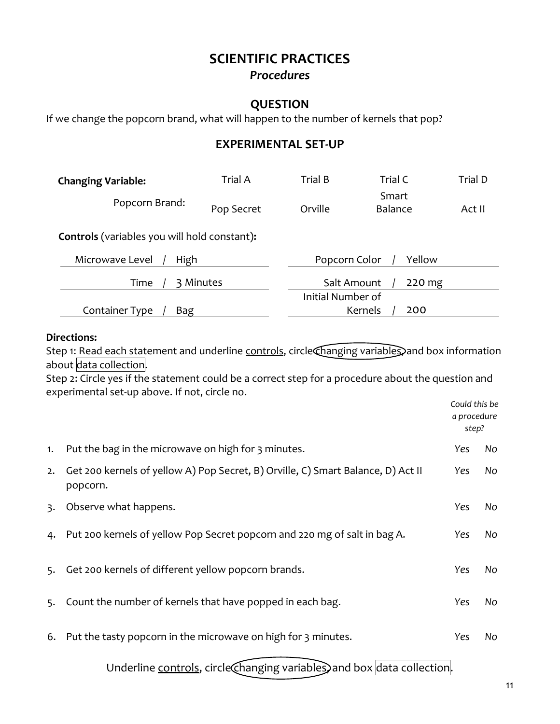#### **QUESTION**

If we change the popcorn brand, what will happen to the number of kernels that pop?

#### **EXPERIMENTAL SET-UP**

| <b>Changing Variable:</b>                           | <b>Trial A</b> | Trial B           | Trial C                 | Trial D |
|-----------------------------------------------------|----------------|-------------------|-------------------------|---------|
| Popcorn Brand:                                      | Pop Secret     | Orville           | Smart<br><b>Balance</b> | Act II  |
| <b>Controls</b> (variables you will hold constant): |                |                   |                         |         |
| Microwave Level<br>High                             |                | Popcorn Color     | Yellow                  |         |
| 3 Minutes<br>Time                                   |                | Salt Amount       | 220 mg                  |         |
|                                                     |                | Initial Number of |                         |         |
| Container Type<br>Bag                               |                |                   | Kernels<br>200          |         |

#### **Directions:**

Step 1: Read each statement and underline controls, circle changing variables, and box information about data collection.

Step 2: Circle yes if the statement could be a correct step for a procedure about the question and experimental set-up above. If not, circle no.

|    |                                                                                              | Could this be<br>a procedure<br>step? |    |
|----|----------------------------------------------------------------------------------------------|---------------------------------------|----|
| 1. | Put the bag in the microwave on high for 3 minutes.                                          | Yes                                   | No |
| 2. | Get 200 kernels of yellow A) Pop Secret, B) Orville, C) Smart Balance, D) Act II<br>popcorn. | Yes                                   | No |
| 3. | Observe what happens.                                                                        | Yes                                   | No |
|    | 4. Put 200 kernels of yellow Pop Secret popcorn and 220 mg of salt in bag A.                 | Yes                                   | No |
| 5. | Get 200 kernels of different yellow popcorn brands.                                          | Yes                                   | No |
| 5. | Count the number of kernels that have popped in each bag.                                    | Yes                                   | No |
| 6. | Put the tasty popcorn in the microwave on high for 3 minutes.                                | Yes                                   | No |
|    | Underline controls, circle Changing variables, and box data collection.                      |                                       |    |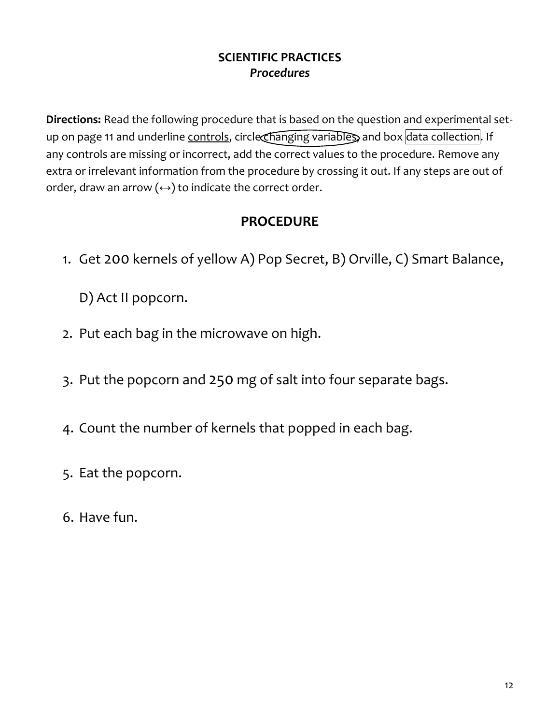**Directions:** Read the following procedure that is based on the question and experimental setup on page 11 and underline controls, circle changing variables, and box data collection. If any controls are missing or incorrect, add the correct values to the procedure. Remove any extra or irrelevant information from the procedure by crossing it out. If any steps are out of order, draw an arrow  $(\leftrightarrow)$  to indicate the correct order.

### **PROCEDURE**

1. Get 200 kernels of yellow A) Pop Secret, B) Orville, C) Smart Balance,

D) Act II popcorn.

- 2. Put each bag in the microwave on high.
- 3. Put the popcorn and 250 mg of salt into four separate bags.
- 4. Count the number of kernels that popped in each bag.
- 5. Eat the popcorn.
- 6. Have fun.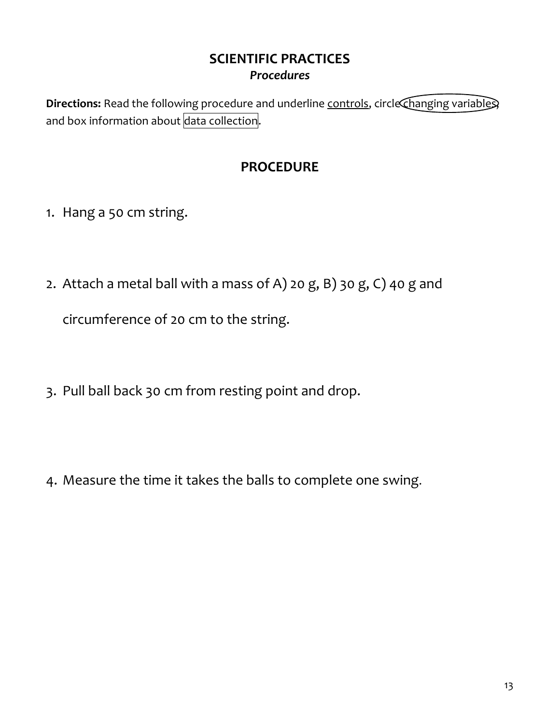**Directions:** Read the following procedure and underline controls, circle changing variables, and box information about data collection.

### **PROCEDURE**

- 1. Hang a 50 cm string.
- 2. Attach a metal ball with a mass of A) 20 g, B) 30 g, C) 40 g and

circumference of 20 cm to the string.

- 3. Pull ball back 30 cm from resting point and drop.
- 4. Measure the time it takes the balls to complete one swing.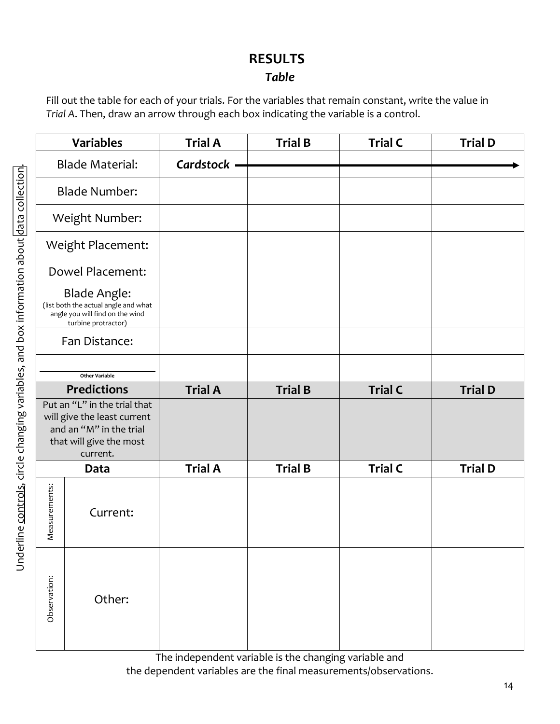### **RESULTS**

#### *Table*

Fill out the table for each of your trials. For the variables that remain constant, write the value in *Trial A*. Then, draw an arrow through each box indicating the variable is a control.

|               | <b>Variables</b>                                                                                                              | <b>Trial A</b> | <b>Trial B</b> | <b>Trial C</b> | <b>Trial D</b> |
|---------------|-------------------------------------------------------------------------------------------------------------------------------|----------------|----------------|----------------|----------------|
|               | <b>Blade Material:</b>                                                                                                        | Cardstock      |                |                |                |
|               | <b>Blade Number:</b>                                                                                                          |                |                |                |                |
|               | Weight Number:                                                                                                                |                |                |                |                |
|               | Weight Placement:                                                                                                             |                |                |                |                |
|               | Dowel Placement:                                                                                                              |                |                |                |                |
|               | <b>Blade Angle:</b><br>(list both the actual angle and what<br>angle you will find on the wind<br>turbine protractor)         |                |                |                |                |
|               | Fan Distance:                                                                                                                 |                |                |                |                |
|               | <b>Other Variable</b>                                                                                                         |                |                |                |                |
|               | <b>Predictions</b>                                                                                                            | <b>Trial A</b> | <b>Trial B</b> | <b>Trial C</b> | <b>Trial D</b> |
|               | Put an "L" in the trial that<br>will give the least current<br>and an "M" in the trial<br>that will give the most<br>current. |                |                |                |                |
|               | Data                                                                                                                          | <b>Trial A</b> | <b>Trial B</b> | <b>Trial C</b> | <b>Trial D</b> |
| Measurements: | Current:                                                                                                                      |                |                |                |                |
| Observation:  | Other:                                                                                                                        |                |                |                |                |

The independent variable is the changing variable and the dependent variables are the final measurements/observations.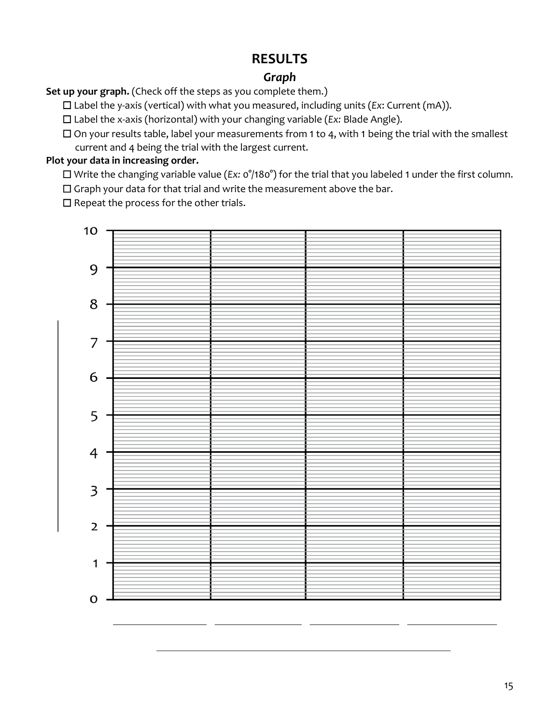#### **RESULTS**

#### *Graph*

**Set up your graph.** (Check off the steps as you complete them.)

☐ Label the y-axis (vertical) with what you measured, including units (*Ex*: Current (mA)).

☐ Label the x-axis (horizontal) with your changing variable (*Ex:* Blade Angle).

 $\Box$  On your results table, label your measurements from 1 to 4, with 1 being the trial with the smallest current and 4 being the trial with the largest current.

#### **Plot your data in increasing order.**

☐ Write the changing variable value (*Ex:* 0°/180°) for the trial that you labeled 1 under the first column.

☐ Graph your data for that trial and write the measurement above the bar.

□ Repeat the process for the other trials.

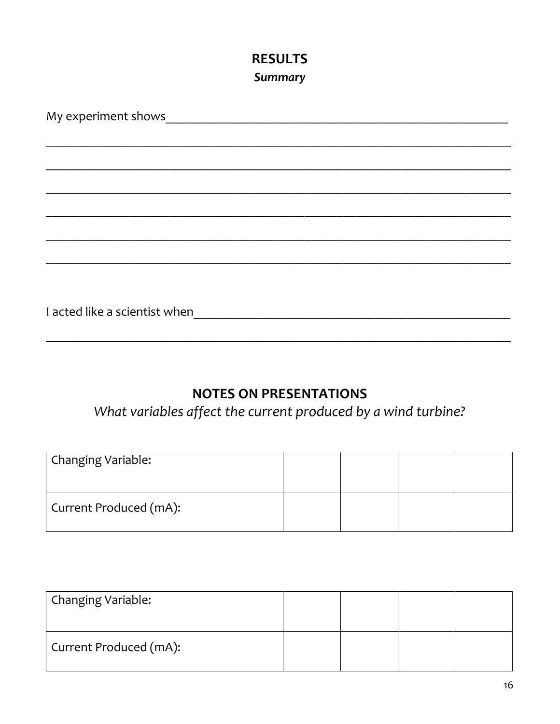# **RESULTS**

# Summary

| My experiment shows           |
|-------------------------------|
|                               |
|                               |
|                               |
|                               |
|                               |
|                               |
|                               |
| I acted like a scientist when |

### **NOTES ON PRESENTATIONS**

What variables affect the current produced by a wind turbine?

| Changing Variable:     |  |  |
|------------------------|--|--|
| Current Produced (mA): |  |  |

| Changing Variable:     |  |  |
|------------------------|--|--|
| Current Produced (mA): |  |  |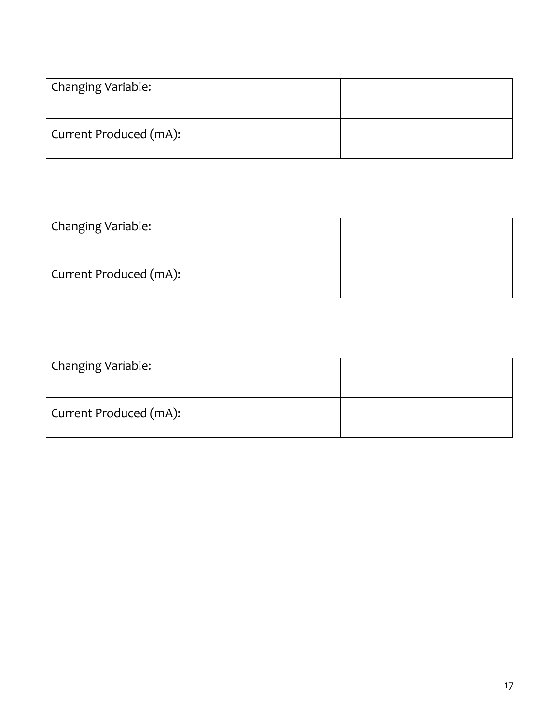| Changing Variable:     |  |  |
|------------------------|--|--|
| Current Produced (mA): |  |  |

| Changing Variable:     |  |  |
|------------------------|--|--|
| Current Produced (mA): |  |  |

| Changing Variable:     |  |  |
|------------------------|--|--|
| Current Produced (mA): |  |  |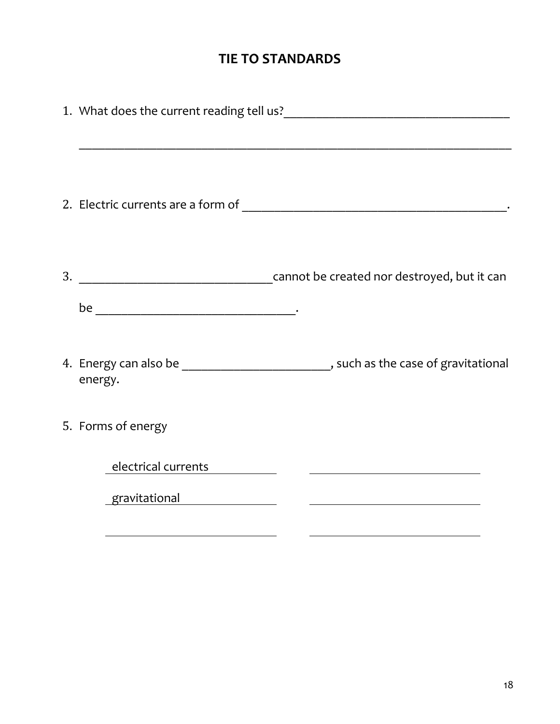# **TIE TO STANDARDS**

| energy.                                                                                                       | 4. Energy can also be ___________________________, such as the case of gravitational |
|---------------------------------------------------------------------------------------------------------------|--------------------------------------------------------------------------------------|
| 5. Forms of energy                                                                                            |                                                                                      |
| electrical currents                                                                                           | <u> 1989 - Andrea Station, amerikansk politik (</u>                                  |
| gravitational and the set of the set of the set of the set of the set of the set of the set of the set of the |                                                                                      |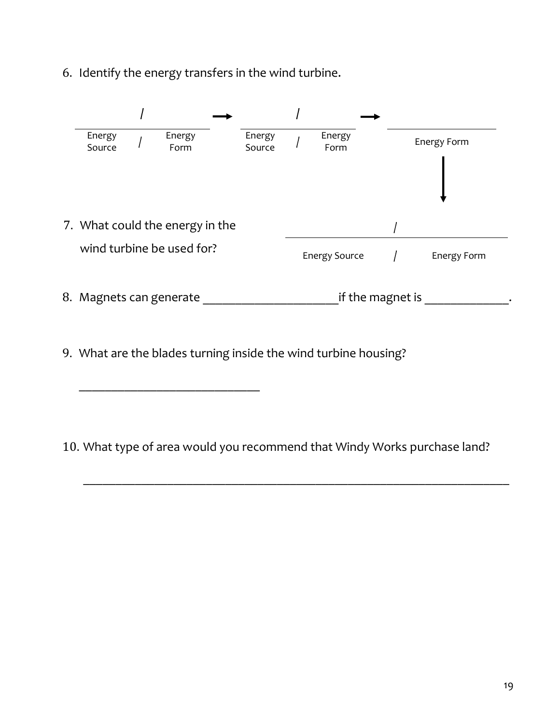6. Identify the energy transfers in the wind turbine.



9. What are the blades turning inside the wind turbine housing?

\_\_\_\_\_\_\_\_\_\_\_\_\_\_\_\_\_\_\_\_\_\_\_\_\_\_\_\_

10. What type of area would you recommend that Windy Works purchase land?

 $\overline{\phantom{a}}$  , and the contribution of the contribution of the contribution of the contribution of the contribution of the contribution of the contribution of the contribution of the contribution of the contribution of the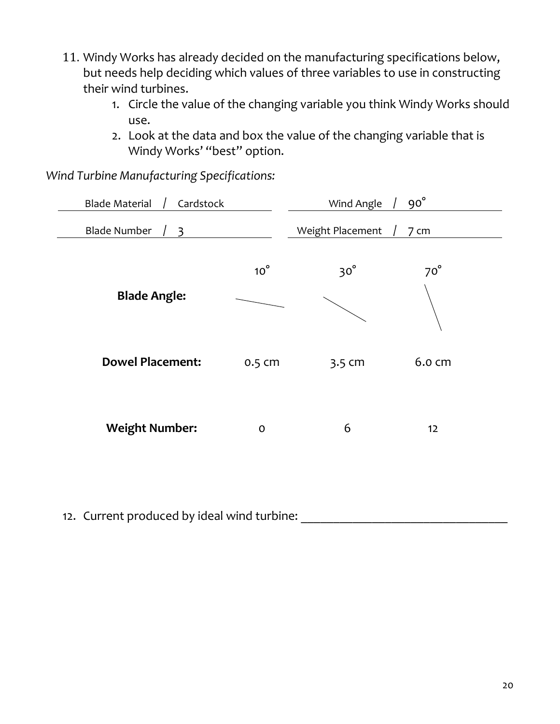- 11. Windy Works has already decided on the manufacturing specifications below, but needs help deciding which values of three variables to use in constructing their wind turbines.
	- 1. Circle the value of the changing variable you think Windy Works should use.
	- 2. Look at the data and box the value of the changing variable that is Windy Works' "best" option.

*Wind Turbine Manufacturing Specifications:* 

| <b>Blade Material</b><br>Cardstock             |              | $90^{\circ}$<br>Wind Angle |            |  |
|------------------------------------------------|--------------|----------------------------|------------|--|
| <b>Blade Number</b><br>$\overline{\mathbf{3}}$ |              | Weight Placement           | 7 cm       |  |
|                                                | $10^{\circ}$ | $30^\circ$                 | $70^\circ$ |  |
| <b>Blade Angle:</b>                            |              |                            |            |  |
| <b>Dowel Placement:</b>                        | 0.5 cm       | 3.5 cm                     | 6.0 cm     |  |
|                                                |              |                            |            |  |
| <b>Weight Number:</b>                          | $\mathbf O$  | 6                          | 12         |  |

| 12. Current produced by ideal wind turbine: |  |
|---------------------------------------------|--|
|---------------------------------------------|--|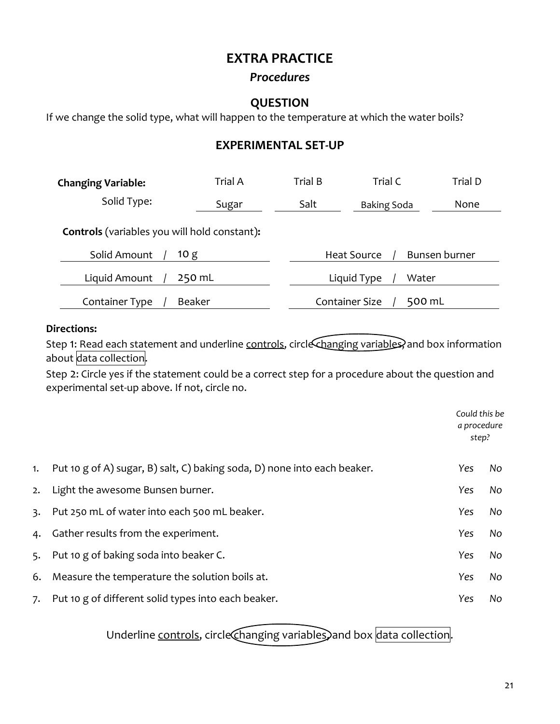#### **EXTRA PRACTICE**

#### *Procedures*

#### **QUESTION**

If we change the solid type, what will happen to the temperature at which the water boils?

#### **EXPERIMENTAL SET-UP**

| <b>Changing Variable:</b>                           | Trial B<br><b>Trial A</b><br>Trial C |  | Trial D |                                 |               |
|-----------------------------------------------------|--------------------------------------|--|---------|---------------------------------|---------------|
| Solid Type:                                         | Sugar                                |  | Salt    | <b>Baking Soda</b>              | None          |
| <b>Controls</b> (variables you will hold constant): |                                      |  |         |                                 |               |
| Solid Amount<br>10 g                                |                                      |  |         | Heat Source                     | Bunsen burner |
| 250 mL<br>Liquid Amount<br>Water<br>Liquid Type     |                                      |  |         |                                 |               |
| <b>Beaker</b><br>Container Type                     |                                      |  |         | <b>Container Size</b><br>500 mL |               |

#### **Directions:**

Step 1: Read each statement and underline controls, circle changing variables, and box information about data collection.

Step 2: Circle yes if the statement could be a correct step for a procedure about the question and experimental set-up above. If not, circle no.

|                  |                                                                             | Could this be<br>a procedure<br>step? |    |
|------------------|-----------------------------------------------------------------------------|---------------------------------------|----|
|                  | 1. Put 10 g of A) sugar, B) salt, C) baking soda, D) none into each beaker. | Yes                                   | No |
| 2.               | Light the awesome Bunsen burner.                                            | Yes                                   | No |
| $\overline{3}$ . | Put 250 mL of water into each 500 mL beaker.                                | Yes                                   | No |
|                  | 4. Gather results from the experiment.                                      | Yes                                   | No |
| 5.               | Put 10 g of baking soda into beaker C.                                      | Yes                                   | No |
|                  | 6. Measure the temperature the solution boils at.                           | Yes                                   | No |
| 7.               | Put 10 g of different solid types into each beaker.                         | Yes                                   | No |

Underline controls, circle Changing variables, and box data collection.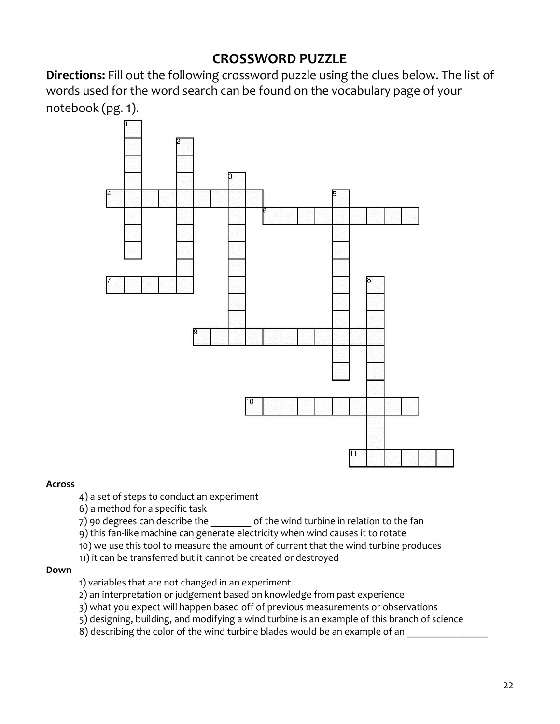### **CROSSWORD PUZZLE**

**Directions:** Fill out the following crossword puzzle using the clues below. The list of words used for the word search can be found on the vocabulary page of your notebook (pg. 1).



#### **Across**

4) a set of steps to conduct an experiment

6) a method for a specific task

7) 90 degrees can describe the \_\_\_\_\_\_\_\_ of the wind turbine in relation to the fan

9) this fan-like machine can generate electricity when wind causes it to rotate

10) we use this tool to measure the amount of current that the wind turbine produces

11) it can be transferred but it cannot be created or destroyed

#### **Down**

- 1) variables that are not changed in an experiment
- 2) an interpretation or judgement based on knowledge from past experience
- 3) what you expect will happen based off of previous measurements or observations
- 5) designing, building, and modifying a wind turbine is an example of this branch of science
- 8) describing the color of the wind turbine blades would be an example of an \_\_\_\_\_\_\_\_